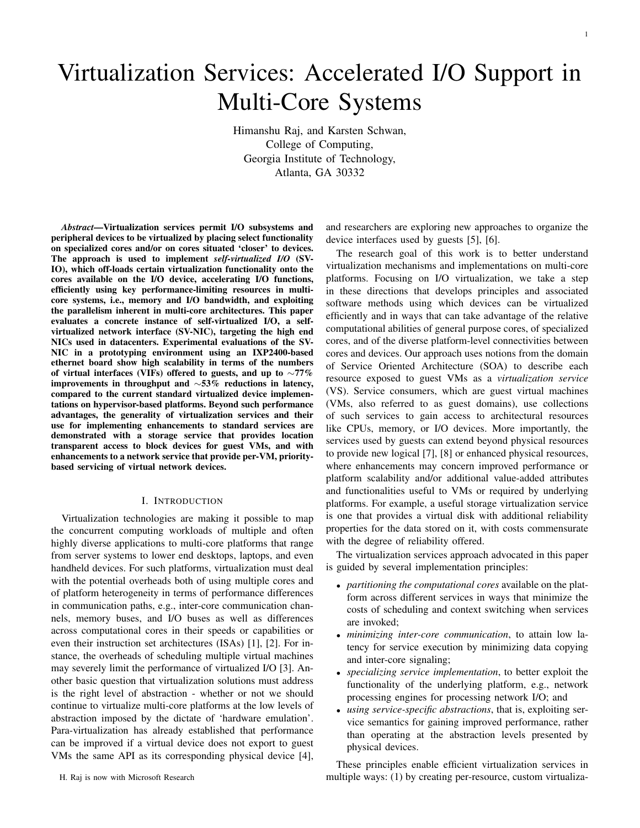# Virtualization Services: Accelerated I/O Support in Multi-Core Systems

Himanshu Raj, and Karsten Schwan, College of Computing, Georgia Institute of Technology, Atlanta, GA 30332

*Abstract*—Virtualization services permit I/O subsystems and peripheral devices to be virtualized by placing select functionality on specialized cores and/or on cores situated 'closer' to devices. The approach is used to implement *self-virtualized I/O* (SV-IO), which off-loads certain virtualization functionality onto the cores available on the I/O device, accelerating I/O functions, efficiently using key performance-limiting resources in multicore systems, i.e., memory and I/O bandwidth, and exploiting the parallelism inherent in multi-core architectures. This paper evaluates a concrete instance of self-virtualized I/O, a selfvirtualized network interface (SV-NIC), targeting the high end NICs used in datacenters. Experimental evaluations of the SV-NIC in a prototyping environment using an IXP2400-based ethernet board show high scalability in terms of the numbers of virtual interfaces (VIFs) offered to guests, and up to *∼*77% improvements in throughput and *∼*53% reductions in latency, compared to the current standard virtualized device implementations on hypervisor-based platforms. Beyond such performance advantages, the generality of virtualization services and their use for implementing enhancements to standard services are demonstrated with a storage service that provides location transparent access to block devices for guest VMs, and with enhancements to a network service that provide per-VM, prioritybased servicing of virtual network devices.

## I. INTRODUCTION

Virtualization technologies are making it possible to map the concurrent computing workloads of multiple and often highly diverse applications to multi-core platforms that range from server systems to lower end desktops, laptops, and even handheld devices. For such platforms, virtualization must deal with the potential overheads both of using multiple cores and of platform heterogeneity in terms of performance differences in communication paths, e.g., inter-core communication channels, memory buses, and I/O buses as well as differences across computational cores in their speeds or capabilities or even their instruction set architectures (ISAs) [1], [2]. For instance, the overheads of scheduling multiple virtual machines may severely limit the performance of virtualized I/O [3]. Another basic question that virtualization solutions must address is the right level of abstraction - whether or not we should continue to virtualize multi-core platforms at the low levels of abstraction imposed by the dictate of 'hardware emulation'. Para-virtualization has already established that performance can be improved if a virtual device does not export to guest VMs the same API as its corresponding physical device [4],

and researchers are exploring new approaches to organize the device interfaces used by guests [5], [6].

The research goal of this work is to better understand virtualization mechanisms and implementations on multi-core platforms. Focusing on I/O virtualization, we take a step in these directions that develops principles and associated software methods using which devices can be virtualized efficiently and in ways that can take advantage of the relative computational abilities of general purpose cores, of specialized cores, and of the diverse platform-level connectivities between cores and devices. Our approach uses notions from the domain of Service Oriented Architecture (SOA) to describe each resource exposed to guest VMs as a *virtualization service* (VS). Service consumers, which are guest virtual machines (VMs, also referred to as guest domains), use collections of such services to gain access to architectural resources like CPUs, memory, or I/O devices. More importantly, the services used by guests can extend beyond physical resources to provide new logical [7], [8] or enhanced physical resources, where enhancements may concern improved performance or platform scalability and/or additional value-added attributes and functionalities useful to VMs or required by underlying platforms. For example, a useful storage virtualization service is one that provides a virtual disk with additional reliability properties for the data stored on it, with costs commensurate with the degree of reliability offered.

The virtualization services approach advocated in this paper is guided by several implementation principles:

- *• partitioning the computational cores* available on the platform across different services in ways that minimize the costs of scheduling and context switching when services are invoked;
- *• minimizing inter-core communication*, to attain low latency for service execution by minimizing data copying and inter-core signaling;
- *• specializing service implementation*, to better exploit the functionality of the underlying platform, e.g., network processing engines for processing network I/O; and
- *• using service-specific abstractions*, that is, exploiting service semantics for gaining improved performance, rather than operating at the abstraction levels presented by physical devices.

These principles enable efficient virtualization services in multiple ways: (1) by creating per-resource, custom virtualiza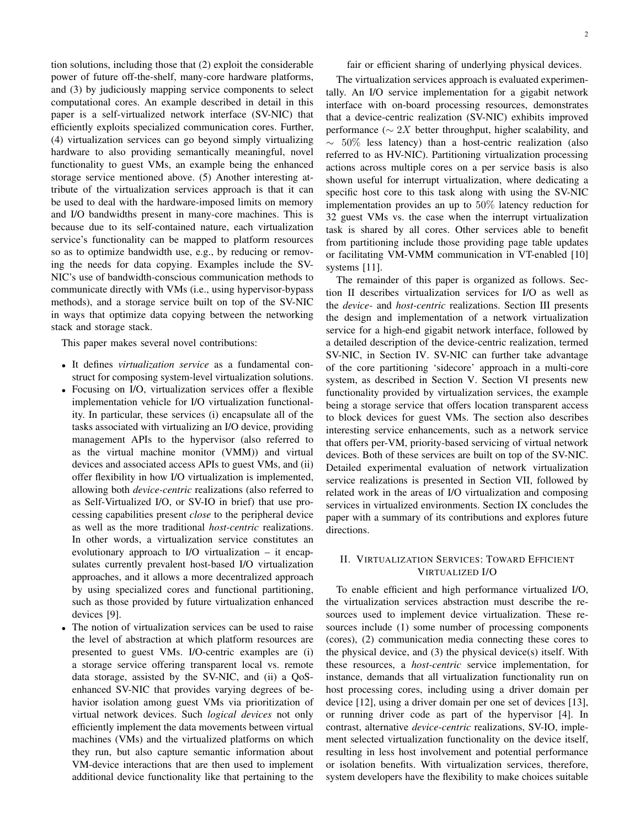tion solutions, including those that (2) exploit the considerable power of future off-the-shelf, many-core hardware platforms, and (3) by judiciously mapping service components to select computational cores. An example described in detail in this paper is a self-virtualized network interface (SV-NIC) that efficiently exploits specialized communication cores. Further, (4) virtualization services can go beyond simply virtualizing hardware to also providing semantically meaningful, novel functionality to guest VMs, an example being the enhanced storage service mentioned above. (5) Another interesting attribute of the virtualization services approach is that it can be used to deal with the hardware-imposed limits on memory and I/O bandwidths present in many-core machines. This is because due to its self-contained nature, each virtualization service's functionality can be mapped to platform resources so as to optimize bandwidth use, e.g., by reducing or removing the needs for data copying. Examples include the SV-NIC's use of bandwidth-conscious communication methods to communicate directly with VMs (i.e., using hypervisor-bypass methods), and a storage service built on top of the SV-NIC in ways that optimize data copying between the networking stack and storage stack.

This paper makes several novel contributions:

- *•* It defines *virtualization service* as a fundamental construct for composing system-level virtualization solutions.
- *•* Focusing on I/O, virtualization services offer a flexible implementation vehicle for I/O virtualization functionality. In particular, these services (i) encapsulate all of the tasks associated with virtualizing an I/O device, providing management APIs to the hypervisor (also referred to as the virtual machine monitor (VMM)) and virtual devices and associated access APIs to guest VMs, and (ii) offer flexibility in how I/O virtualization is implemented, allowing both *device-centric* realizations (also referred to as Self-Virtualized I/O, or SV-IO in brief) that use processing capabilities present *close* to the peripheral device as well as the more traditional *host-centric* realizations. In other words, a virtualization service constitutes an evolutionary approach to I/O virtualization – it encapsulates currently prevalent host-based I/O virtualization approaches, and it allows a more decentralized approach by using specialized cores and functional partitioning, such as those provided by future virtualization enhanced devices [9].
- *•* The notion of virtualization services can be used to raise the level of abstraction at which platform resources are presented to guest VMs. I/O-centric examples are (i) a storage service offering transparent local vs. remote data storage, assisted by the SV-NIC, and (ii) a QoSenhanced SV-NIC that provides varying degrees of behavior isolation among guest VMs via prioritization of virtual network devices. Such *logical devices* not only efficiently implement the data movements between virtual machines (VMs) and the virtualized platforms on which they run, but also capture semantic information about VM-device interactions that are then used to implement additional device functionality like that pertaining to the

fair or efficient sharing of underlying physical devices.

The virtualization services approach is evaluated experimentally. An I/O service implementation for a gigabit network interface with on-board processing resources, demonstrates that a device-centric realization (SV-NIC) exhibits improved performance ( $\sim$  2*X* better throughput, higher scalability, and *∼* 50% less latency) than a host-centric realization (also referred to as HV-NIC). Partitioning virtualization processing actions across multiple cores on a per service basis is also shown useful for interrupt virtualization, where dedicating a specific host core to this task along with using the SV-NIC implementation provides an up to 50% latency reduction for 32 guest VMs vs. the case when the interrupt virtualization task is shared by all cores. Other services able to benefit from partitioning include those providing page table updates or facilitating VM-VMM communication in VT-enabled [10] systems [11].

The remainder of this paper is organized as follows. Section II describes virtualization services for I/O as well as the *device-* and *host-centric* realizations. Section III presents the design and implementation of a network virtualization service for a high-end gigabit network interface, followed by a detailed description of the device-centric realization, termed SV-NIC, in Section IV. SV-NIC can further take advantage of the core partitioning 'sidecore' approach in a multi-core system, as described in Section V. Section VI presents new functionality provided by virtualization services, the example being a storage service that offers location transparent access to block devices for guest VMs. The section also describes interesting service enhancements, such as a network service that offers per-VM, priority-based servicing of virtual network devices. Both of these services are built on top of the SV-NIC. Detailed experimental evaluation of network virtualization service realizations is presented in Section VII, followed by related work in the areas of I/O virtualization and composing services in virtualized environments. Section IX concludes the paper with a summary of its contributions and explores future directions.

# II. VIRTUALIZATION SERVICES: TOWARD EFFICIENT VIRTUALIZED I/O

To enable efficient and high performance virtualized I/O, the virtualization services abstraction must describe the resources used to implement device virtualization. These resources include (1) some number of processing components (cores), (2) communication media connecting these cores to the physical device, and (3) the physical device(s) itself. With these resources, a *host-centric* service implementation, for instance, demands that all virtualization functionality run on host processing cores, including using a driver domain per device [12], using a driver domain per one set of devices [13], or running driver code as part of the hypervisor [4]. In contrast, alternative *device-centric* realizations, SV-IO, implement selected virtualization functionality on the device itself, resulting in less host involvement and potential performance or isolation benefits. With virtualization services, therefore, system developers have the flexibility to make choices suitable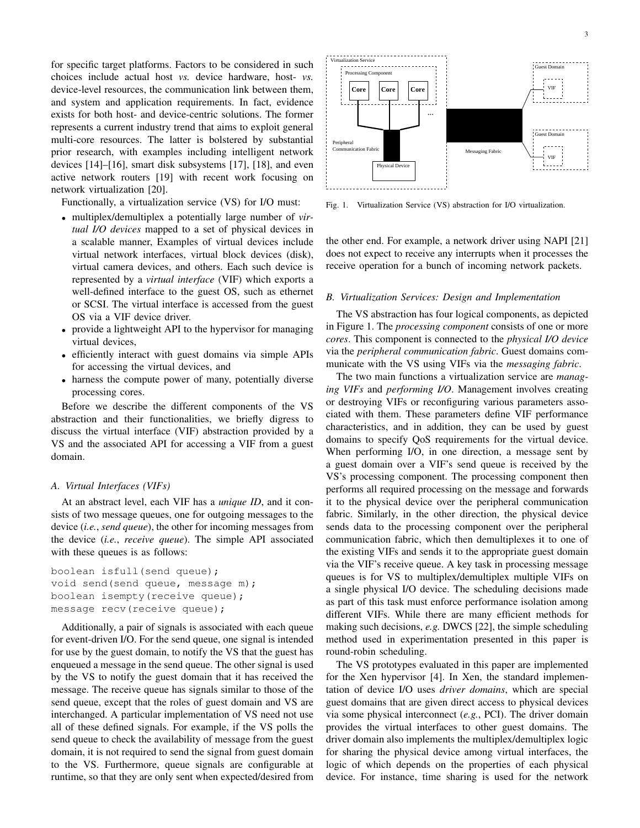for specific target platforms. Factors to be considered in such choices include actual host *vs.* device hardware, host- *vs.* device-level resources, the communication link between them, and system and application requirements. In fact, evidence exists for both host- and device-centric solutions. The former represents a current industry trend that aims to exploit general multi-core resources. The latter is bolstered by substantial prior research, with examples including intelligent network devices [14]–[16], smart disk subsystems [17], [18], and even active network routers [19] with recent work focusing on network virtualization [20].

Functionally, a virtualization service (VS) for I/O must:

- *•* multiplex/demultiplex a potentially large number of *virtual I/O devices* mapped to a set of physical devices in a scalable manner, Examples of virtual devices include virtual network interfaces, virtual block devices (disk), virtual camera devices, and others. Each such device is represented by a *virtual interface* (VIF) which exports a well-defined interface to the guest OS, such as ethernet or SCSI. The virtual interface is accessed from the guest OS via a VIF device driver.
- *•* provide a lightweight API to the hypervisor for managing virtual devices,
- *•* efficiently interact with guest domains via simple APIs for accessing the virtual devices, and
- *•* harness the compute power of many, potentially diverse processing cores.

Before we describe the different components of the VS abstraction and their functionalities, we briefly digress to discuss the virtual interface (VIF) abstraction provided by a VS and the associated API for accessing a VIF from a guest domain.

## *A. Virtual Interfaces (VIFs)*

At an abstract level, each VIF has a *unique ID*, and it consists of two message queues, one for outgoing messages to the device (*i.e.*, *send queue*), the other for incoming messages from the device (*i.e.*, *receive queue*). The simple API associated with these queues is as follows:

```
boolean isfull(send queue);
void send(send queue, message m);
boolean isempty(receive queue);
message recv(receive queue);
```
Additionally, a pair of signals is associated with each queue for event-driven I/O. For the send queue, one signal is intended for use by the guest domain, to notify the VS that the guest has enqueued a message in the send queue. The other signal is used by the VS to notify the guest domain that it has received the message. The receive queue has signals similar to those of the send queue, except that the roles of guest domain and VS are interchanged. A particular implementation of VS need not use all of these defined signals. For example, if the VS polls the send queue to check the availability of message from the guest domain, it is not required to send the signal from guest domain to the VS. Furthermore, queue signals are configurable at runtime, so that they are only sent when expected/desired from



Fig. 1. Virtualization Service (VS) abstraction for I/O virtualization.

the other end. For example, a network driver using NAPI [21] does not expect to receive any interrupts when it processes the receive operation for a bunch of incoming network packets.

#### *B. Virtualization Services: Design and Implementation*

The VS abstraction has four logical components, as depicted in Figure 1. The *processing component* consists of one or more *cores*. This component is connected to the *physical I/O device* via the *peripheral communication fabric*. Guest domains communicate with the VS using VIFs via the *messaging fabric*.

The two main functions a virtualization service are *managing VIFs* and *performing I/O*. Management involves creating or destroying VIFs or reconfiguring various parameters associated with them. These parameters define VIF performance characteristics, and in addition, they can be used by guest domains to specify QoS requirements for the virtual device. When performing I/O, in one direction, a message sent by a guest domain over a VIF's send queue is received by the VS's processing component. The processing component then performs all required processing on the message and forwards it to the physical device over the peripheral communication fabric. Similarly, in the other direction, the physical device sends data to the processing component over the peripheral communication fabric, which then demultiplexes it to one of the existing VIFs and sends it to the appropriate guest domain via the VIF's receive queue. A key task in processing message queues is for VS to multiplex/demultiplex multiple VIFs on a single physical I/O device. The scheduling decisions made as part of this task must enforce performance isolation among different VIFs. While there are many efficient methods for making such decisions, *e.g.* DWCS [22], the simple scheduling method used in experimentation presented in this paper is round-robin scheduling.

The VS prototypes evaluated in this paper are implemented for the Xen hypervisor [4]. In Xen, the standard implementation of device I/O uses *driver domains*, which are special guest domains that are given direct access to physical devices via some physical interconnect (*e.g.*, PCI). The driver domain provides the virtual interfaces to other guest domains. The driver domain also implements the multiplex/demultiplex logic for sharing the physical device among virtual interfaces, the logic of which depends on the properties of each physical device. For instance, time sharing is used for the network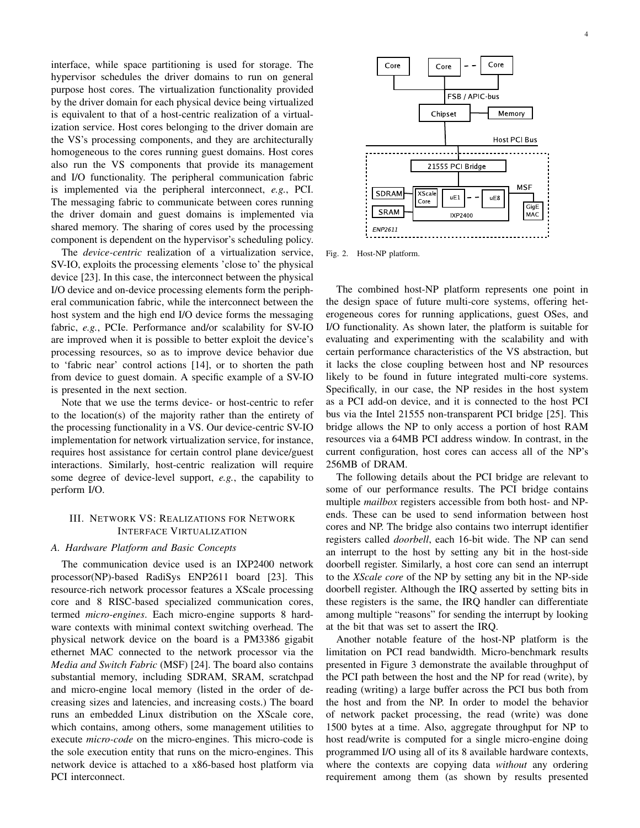interface, while space partitioning is used for storage. The hypervisor schedules the driver domains to run on general purpose host cores. The virtualization functionality provided by the driver domain for each physical device being virtualized is equivalent to that of a host-centric realization of a virtualization service. Host cores belonging to the driver domain are the VS's processing components, and they are architecturally homogeneous to the cores running guest domains. Host cores also run the VS components that provide its management and I/O functionality. The peripheral communication fabric is implemented via the peripheral interconnect, *e.g.*, PCI. The messaging fabric to communicate between cores running the driver domain and guest domains is implemented via shared memory. The sharing of cores used by the processing component is dependent on the hypervisor's scheduling policy.

The *device-centric* realization of a virtualization service, SV-IO, exploits the processing elements 'close to' the physical device [23]. In this case, the interconnect between the physical I/O device and on-device processing elements form the peripheral communication fabric, while the interconnect between the host system and the high end I/O device forms the messaging fabric, *e.g.*, PCIe. Performance and/or scalability for SV-IO are improved when it is possible to better exploit the device's processing resources, so as to improve device behavior due to 'fabric near' control actions [14], or to shorten the path from device to guest domain. A specific example of a SV-IO is presented in the next section.

Note that we use the terms device- or host-centric to refer to the location(s) of the majority rather than the entirety of the processing functionality in a VS. Our device-centric SV-IO implementation for network virtualization service, for instance, requires host assistance for certain control plane device/guest interactions. Similarly, host-centric realization will require some degree of device-level support, *e.g.*, the capability to perform I/O.

# III. NETWORK VS: REALIZATIONS FOR NETWORK INTERFACE VIRTUALIZATION

## *A. Hardware Platform and Basic Concepts*

The communication device used is an IXP2400 network processor(NP)-based RadiSys ENP2611 board [23]. This resource-rich network processor features a XScale processing core and 8 RISC-based specialized communication cores, termed *micro-engines*. Each micro-engine supports 8 hardware contexts with minimal context switching overhead. The physical network device on the board is a PM3386 gigabit ethernet MAC connected to the network processor via the *Media and Switch Fabric* (MSF) [24]. The board also contains substantial memory, including SDRAM, SRAM, scratchpad and micro-engine local memory (listed in the order of decreasing sizes and latencies, and increasing costs.) The board runs an embedded Linux distribution on the XScale core, which contains, among others, some management utilities to execute *micro-code* on the micro-engines. This micro-code is the sole execution entity that runs on the micro-engines. This network device is attached to a x86-based host platform via PCI interconnect.



Fig. 2. Host-NP platform.

The combined host-NP platform represents one point in the design space of future multi-core systems, offering heterogeneous cores for running applications, guest OSes, and I/O functionality. As shown later, the platform is suitable for evaluating and experimenting with the scalability and with certain performance characteristics of the VS abstraction, but it lacks the close coupling between host and NP resources likely to be found in future integrated multi-core systems. Specifically, in our case, the NP resides in the host system as a PCI add-on device, and it is connected to the host PCI bus via the Intel 21555 non-transparent PCI bridge [25]. This bridge allows the NP to only access a portion of host RAM resources via a 64MB PCI address window. In contrast, in the current configuration, host cores can access all of the NP's 256MB of DRAM.

The following details about the PCI bridge are relevant to some of our performance results. The PCI bridge contains multiple *mailbox* registers accessible from both host- and NPends. These can be used to send information between host cores and NP. The bridge also contains two interrupt identifier registers called *doorbell*, each 16-bit wide. The NP can send an interrupt to the host by setting any bit in the host-side doorbell register. Similarly, a host core can send an interrupt to the *XScale core* of the NP by setting any bit in the NP-side doorbell register. Although the IRQ asserted by setting bits in these registers is the same, the IRQ handler can differentiate among multiple "reasons" for sending the interrupt by looking at the bit that was set to assert the IRQ.

Another notable feature of the host-NP platform is the limitation on PCI read bandwidth. Micro-benchmark results presented in Figure 3 demonstrate the available throughput of the PCI path between the host and the NP for read (write), by reading (writing) a large buffer across the PCI bus both from the host and from the NP. In order to model the behavior of network packet processing, the read (write) was done 1500 bytes at a time. Also, aggregate throughput for NP to host read/write is computed for a single micro-engine doing programmed I/O using all of its 8 available hardware contexts, where the contexts are copying data *without* any ordering requirement among them (as shown by results presented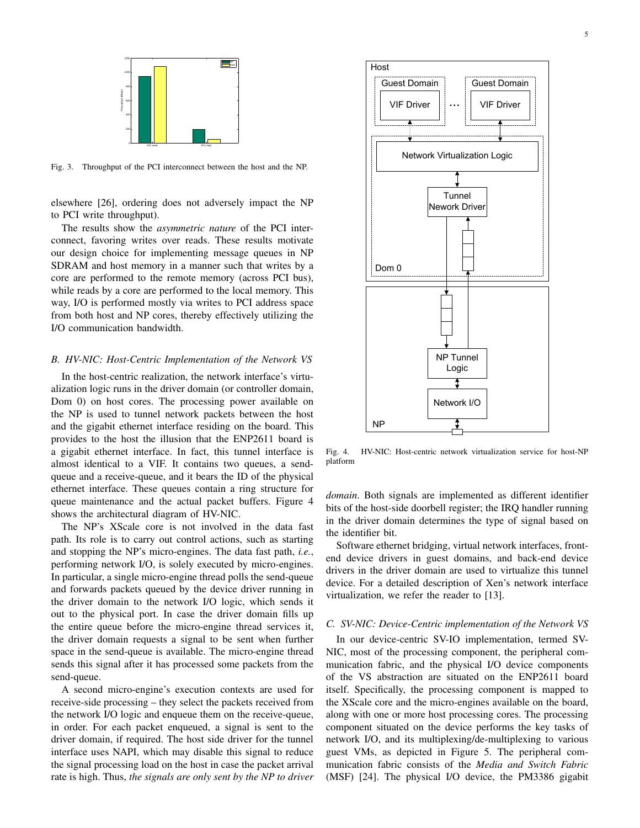

Fig. 3. Throughput of the PCI interconnect between the host and the NP.

elsewhere [26], ordering does not adversely impact the NP to PCI write throughput).

The results show the *asymmetric nature* of the PCI interconnect, favoring writes over reads. These results motivate our design choice for implementing message queues in NP SDRAM and host memory in a manner such that writes by a core are performed to the remote memory (across PCI bus), while reads by a core are performed to the local memory. This way, I/O is performed mostly via writes to PCI address space from both host and NP cores, thereby effectively utilizing the I/O communication bandwidth.

# *B. HV-NIC: Host-Centric Implementation of the Network VS*

In the host-centric realization, the network interface's virtualization logic runs in the driver domain (or controller domain, Dom 0) on host cores. The processing power available on the NP is used to tunnel network packets between the host and the gigabit ethernet interface residing on the board. This provides to the host the illusion that the ENP2611 board is a gigabit ethernet interface. In fact, this tunnel interface is almost identical to a VIF. It contains two queues, a sendqueue and a receive-queue, and it bears the ID of the physical ethernet interface. These queues contain a ring structure for queue maintenance and the actual packet buffers. Figure 4 shows the architectural diagram of HV-NIC.

The NP's XScale core is not involved in the data fast path. Its role is to carry out control actions, such as starting and stopping the NP's micro-engines. The data fast path, *i.e.*, performing network I/O, is solely executed by micro-engines. In particular, a single micro-engine thread polls the send-queue and forwards packets queued by the device driver running in the driver domain to the network I/O logic, which sends it out to the physical port. In case the driver domain fills up the entire queue before the micro-engine thread services it, the driver domain requests a signal to be sent when further space in the send-queue is available. The micro-engine thread sends this signal after it has processed some packets from the send-queue.

A second micro-engine's execution contexts are used for receive-side processing – they select the packets received from the network I/O logic and enqueue them on the receive-queue, in order. For each packet enqueued, a signal is sent to the driver domain, if required. The host side driver for the tunnel interface uses NAPI, which may disable this signal to reduce the signal processing load on the host in case the packet arrival rate is high. Thus, *the signals are only sent by the NP to driver*



Fig. 4. HV-NIC: Host-centric network virtualization service for host-NP platform

*domain*. Both signals are implemented as different identifier bits of the host-side doorbell register; the IRQ handler running in the driver domain determines the type of signal based on the identifier bit.

Software ethernet bridging, virtual network interfaces, frontend device drivers in guest domains, and back-end device drivers in the driver domain are used to virtualize this tunnel device. For a detailed description of Xen's network interface virtualization, we refer the reader to [13].

#### *C. SV-NIC: Device-Centric implementation of the Network VS*

In our device-centric SV-IO implementation, termed SV-NIC, most of the processing component, the peripheral communication fabric, and the physical I/O device components of the VS abstraction are situated on the ENP2611 board itself. Specifically, the processing component is mapped to the XScale core and the micro-engines available on the board, along with one or more host processing cores. The processing component situated on the device performs the key tasks of network I/O, and its multiplexing/de-multiplexing to various guest VMs, as depicted in Figure 5. The peripheral communication fabric consists of the *Media and Switch Fabric* (MSF) [24]. The physical I/O device, the PM3386 gigabit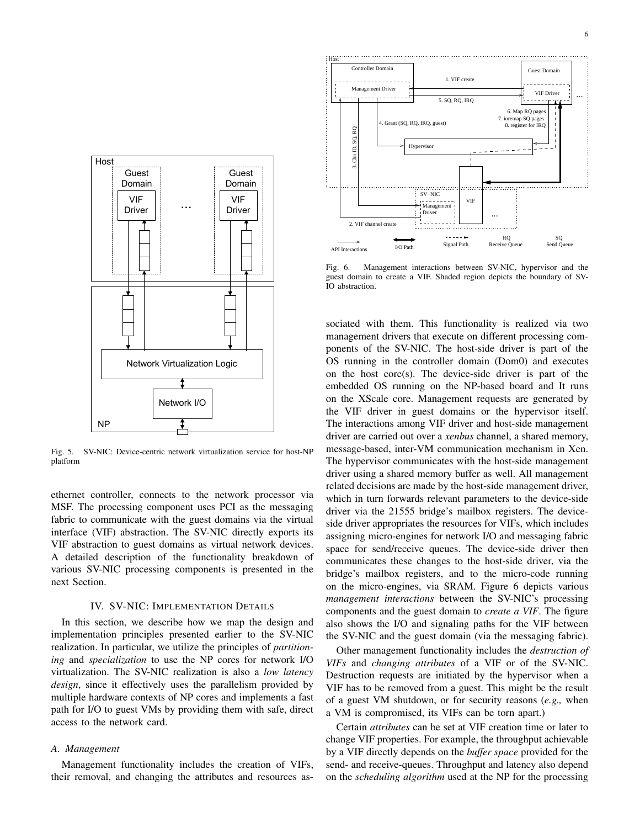

Fig. 5. SV-NIC: Device-centric network virtualization service for host-NP platform

ethernet controller, connects to the network processor via MSF. The processing component uses PCI as the messaging fabric to communicate with the guest domains via the virtual interface (VIF) abstraction. The SV-NIC directly exports its VIF abstraction to guest domains as virtual network devices. A detailed description of the functionality breakdown of various SV-NIC processing components is presented in the next Section.

#### IV. SV-NIC: IMPLEMENTATION DETAILS

In this section, we describe how we map the design and implementation principles presented earlier to the SV-NIC realization. In particular, we utilize the principles of *partitioning* and *specialization* to use the NP cores for network I/O virtualization. The SV-NIC realization is also a *low latency design*, since it effectively uses the parallelism provided by multiple hardware contexts of NP cores and implements a fast path for I/O to guest VMs by providing them with safe, direct access to the network card.

## *A. Management*

Management functionality includes the creation of VIFs, their removal, and changing the attributes and resources as-



Fig. 6. Management interactions between SV-NIC, hypervisor and the guest domain to create a VIF. Shaded region depicts the boundary of SV-IO abstraction.

sociated with them. This functionality is realized via two management drivers that execute on different processing components of the SV-NIC. The host-side driver is part of the OS running in the controller domain (Dom0) and executes on the host core(s). The device-side driver is part of the embedded OS running on the NP-based board and It runs on the XScale core. Management requests are generated by the VIF driver in guest domains or the hypervisor itself. The interactions among VIF driver and host-side management driver are carried out over a *xenbus* channel, a shared memory, message-based, inter-VM communication mechanism in Xen. The hypervisor communicates with the host-side management driver using a shared memory buffer as well. All management related decisions are made by the host-side management driver, which in turn forwards relevant parameters to the device-side driver via the 21555 bridge's mailbox registers. The deviceside driver appropriates the resources for VIFs, which includes assigning micro-engines for network I/O and messaging fabric space for send/receive queues. The device-side driver then communicates these changes to the host-side driver, via the bridge's mailbox registers, and to the micro-code running on the micro-engines, via SRAM. Figure 6 depicts various *management interactions* between the SV-NIC's processing components and the guest domain to *create a VIF*. The figure also shows the I/O and signaling paths for the VIF between the SV-NIC and the guest domain (via the messaging fabric).

Other management functionality includes the *destruction of VIFs* and *changing attributes* of a VIF or of the SV-NIC. Destruction requests are initiated by the hypervisor when a VIF has to be removed from a guest. This might be the result of a guest VM shutdown, or for security reasons (*e.g.,* when a VM is compromised, its VIFs can be torn apart.)

Certain *attributes* can be set at VIF creation time or later to change VIF properties. For example, the throughput achievable by a VIF directly depends on the *buffer space* provided for the send- and receive-queues. Throughput and latency also depend on the *scheduling algorithm* used at the NP for the processing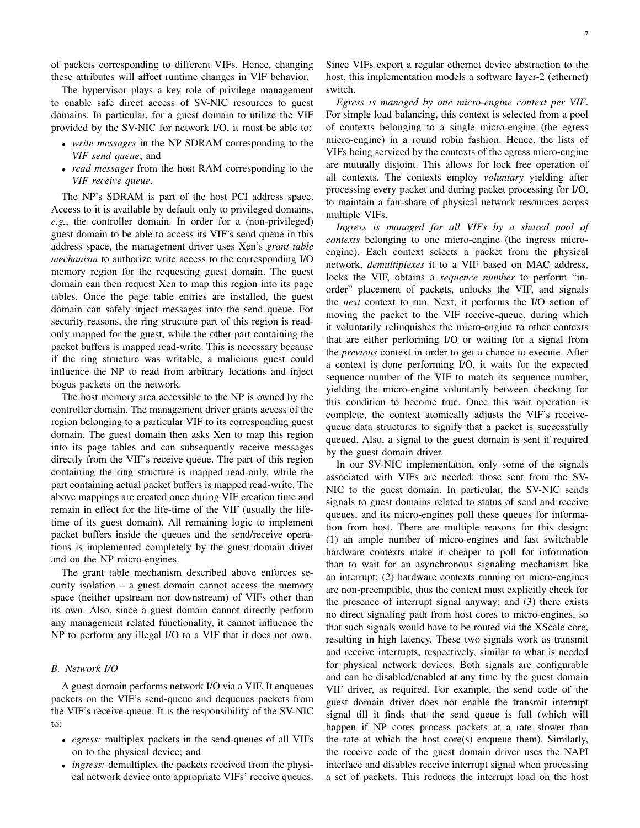of packets corresponding to different VIFs. Hence, changing these attributes will affect runtime changes in VIF behavior.

The hypervisor plays a key role of privilege management to enable safe direct access of SV-NIC resources to guest domains. In particular, for a guest domain to utilize the VIF provided by the SV-NIC for network I/O, it must be able to:

- *• write messages* in the NP SDRAM corresponding to the *VIF send queue*; and
- *• read messages* from the host RAM corresponding to the *VIF receive queue*.

The NP's SDRAM is part of the host PCI address space. Access to it is available by default only to privileged domains, *e.g.*, the controller domain. In order for a (non-privileged) guest domain to be able to access its VIF's send queue in this address space, the management driver uses Xen's *grant table mechanism* to authorize write access to the corresponding I/O memory region for the requesting guest domain. The guest domain can then request Xen to map this region into its page tables. Once the page table entries are installed, the guest domain can safely inject messages into the send queue. For security reasons, the ring structure part of this region is readonly mapped for the guest, while the other part containing the packet buffers is mapped read-write. This is necessary because if the ring structure was writable, a malicious guest could influence the NP to read from arbitrary locations and inject bogus packets on the network.

The host memory area accessible to the NP is owned by the controller domain. The management driver grants access of the region belonging to a particular VIF to its corresponding guest domain. The guest domain then asks Xen to map this region into its page tables and can subsequently receive messages directly from the VIF's receive queue. The part of this region containing the ring structure is mapped read-only, while the part containing actual packet buffers is mapped read-write. The above mappings are created once during VIF creation time and remain in effect for the life-time of the VIF (usually the lifetime of its guest domain). All remaining logic to implement packet buffers inside the queues and the send/receive operations is implemented completely by the guest domain driver and on the NP micro-engines.

The grant table mechanism described above enforces security isolation – a guest domain cannot access the memory space (neither upstream nor downstream) of VIFs other than its own. Also, since a guest domain cannot directly perform any management related functionality, it cannot influence the NP to perform any illegal I/O to a VIF that it does not own.

## *B. Network I/O*

A guest domain performs network I/O via a VIF. It enqueues packets on the VIF's send-queue and dequeues packets from the VIF's receive-queue. It is the responsibility of the SV-NIC to:

- *• egress:* multiplex packets in the send-queues of all VIFs on to the physical device; and
- *• ingress:* demultiplex the packets received from the physical network device onto appropriate VIFs' receive queues.

Since VIFs export a regular ethernet device abstraction to the host, this implementation models a software layer-2 (ethernet) switch.

*Egress is managed by one micro-engine context per VIF*. For simple load balancing, this context is selected from a pool of contexts belonging to a single micro-engine (the egress micro-engine) in a round robin fashion. Hence, the lists of VIFs being serviced by the contexts of the egress micro-engine are mutually disjoint. This allows for lock free operation of all contexts. The contexts employ *voluntary* yielding after processing every packet and during packet processing for I/O, to maintain a fair-share of physical network resources across multiple VIFs.

*Ingress is managed for all VIFs by a shared pool of contexts* belonging to one micro-engine (the ingress microengine). Each context selects a packet from the physical network, *demultiplexes* it to a VIF based on MAC address, locks the VIF, obtains a *sequence number* to perform "inorder" placement of packets, unlocks the VIF, and signals the *next* context to run. Next, it performs the I/O action of moving the packet to the VIF receive-queue, during which it voluntarily relinquishes the micro-engine to other contexts that are either performing I/O or waiting for a signal from the *previous* context in order to get a chance to execute. After a context is done performing I/O, it waits for the expected sequence number of the VIF to match its sequence number, yielding the micro-engine voluntarily between checking for this condition to become true. Once this wait operation is complete, the context atomically adjusts the VIF's receivequeue data structures to signify that a packet is successfully queued. Also, a signal to the guest domain is sent if required by the guest domain driver.

In our SV-NIC implementation, only some of the signals associated with VIFs are needed: those sent from the SV-NIC to the guest domain. In particular, the SV-NIC sends signals to guest domains related to status of send and receive queues, and its micro-engines poll these queues for information from host. There are multiple reasons for this design: (1) an ample number of micro-engines and fast switchable hardware contexts make it cheaper to poll for information than to wait for an asynchronous signaling mechanism like an interrupt; (2) hardware contexts running on micro-engines are non-preemptible, thus the context must explicitly check for the presence of interrupt signal anyway; and (3) there exists no direct signaling path from host cores to micro-engines, so that such signals would have to be routed via the XScale core, resulting in high latency. These two signals work as transmit and receive interrupts, respectively, similar to what is needed for physical network devices. Both signals are configurable and can be disabled/enabled at any time by the guest domain VIF driver, as required. For example, the send code of the guest domain driver does not enable the transmit interrupt signal till it finds that the send queue is full (which will happen if NP cores process packets at a rate slower than the rate at which the host core(s) enqueue them). Similarly, the receive code of the guest domain driver uses the NAPI interface and disables receive interrupt signal when processing a set of packets. This reduces the interrupt load on the host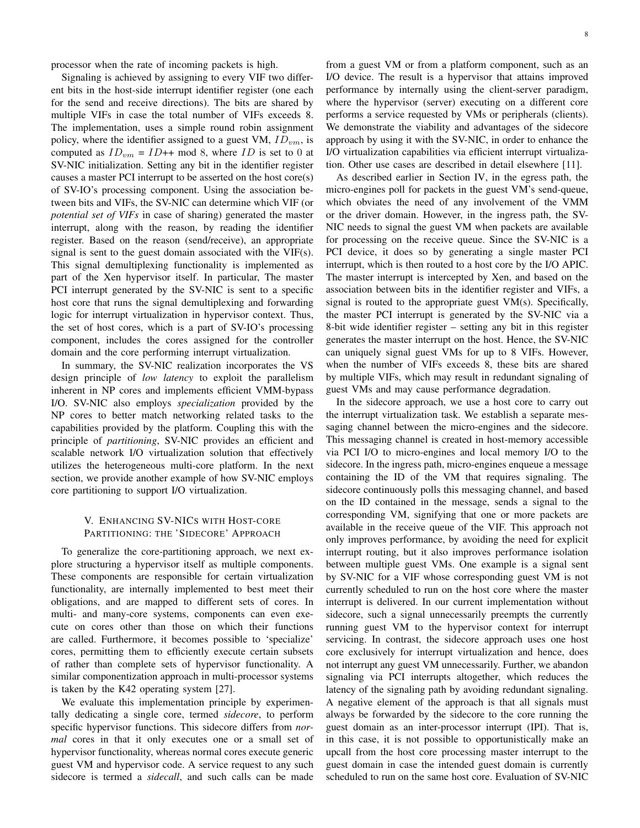processor when the rate of incoming packets is high.

Signaling is achieved by assigning to every VIF two different bits in the host-side interrupt identifier register (one each for the send and receive directions). The bits are shared by multiple VIFs in case the total number of VIFs exceeds 8. The implementation, uses a simple round robin assignment policy, where the identifier assigned to a guest VM, *IDvm*, is computed as  $ID_{vm} = ID++$  mod 8, where  $ID$  is set to 0 at SV-NIC initialization. Setting any bit in the identifier register causes a master PCI interrupt to be asserted on the host core(s) of SV-IO's processing component. Using the association between bits and VIFs, the SV-NIC can determine which VIF (or *potential set of VIFs* in case of sharing) generated the master interrupt, along with the reason, by reading the identifier register. Based on the reason (send/receive), an appropriate signal is sent to the guest domain associated with the VIF(s). This signal demultiplexing functionality is implemented as part of the Xen hypervisor itself. In particular, The master PCI interrupt generated by the SV-NIC is sent to a specific host core that runs the signal demultiplexing and forwarding logic for interrupt virtualization in hypervisor context. Thus, the set of host cores, which is a part of SV-IO's processing component, includes the cores assigned for the controller domain and the core performing interrupt virtualization.

In summary, the SV-NIC realization incorporates the VS design principle of *low latency* to exploit the parallelism inherent in NP cores and implements efficient VMM-bypass I/O. SV-NIC also employs *specialization* provided by the NP cores to better match networking related tasks to the capabilities provided by the platform. Coupling this with the principle of *partitioning*, SV-NIC provides an efficient and scalable network I/O virtualization solution that effectively utilizes the heterogeneous multi-core platform. In the next section, we provide another example of how SV-NIC employs core partitioning to support I/O virtualization.

# V. ENHANCING SV-NICS WITH HOST-CORE PARTITIONING: THE 'SIDECORE' APPROACH

To generalize the core-partitioning approach, we next explore structuring a hypervisor itself as multiple components. These components are responsible for certain virtualization functionality, are internally implemented to best meet their obligations, and are mapped to different sets of cores. In multi- and many-core systems, components can even execute on cores other than those on which their functions are called. Furthermore, it becomes possible to 'specialize' cores, permitting them to efficiently execute certain subsets of rather than complete sets of hypervisor functionality. A similar componentization approach in multi-processor systems is taken by the K42 operating system [27].

We evaluate this implementation principle by experimentally dedicating a single core, termed *sidecore*, to perform specific hypervisor functions. This sidecore differs from *normal* cores in that it only executes one or a small set of hypervisor functionality, whereas normal cores execute generic guest VM and hypervisor code. A service request to any such sidecore is termed a *sidecall*, and such calls can be made

from a guest VM or from a platform component, such as an I/O device. The result is a hypervisor that attains improved performance by internally using the client-server paradigm, where the hypervisor (server) executing on a different core performs a service requested by VMs or peripherals (clients). We demonstrate the viability and advantages of the sidecore approach by using it with the SV-NIC, in order to enhance the I/O virtualization capabilities via efficient interrupt virtualization. Other use cases are described in detail elsewhere [11].

As described earlier in Section IV, in the egress path, the micro-engines poll for packets in the guest VM's send-queue, which obviates the need of any involvement of the VMM or the driver domain. However, in the ingress path, the SV-NIC needs to signal the guest VM when packets are available for processing on the receive queue. Since the SV-NIC is a PCI device, it does so by generating a single master PCI interrupt, which is then routed to a host core by the I/O APIC. The master interrupt is intercepted by Xen, and based on the association between bits in the identifier register and VIFs, a signal is routed to the appropriate guest VM(s). Specifically, the master PCI interrupt is generated by the SV-NIC via a 8-bit wide identifier register – setting any bit in this register generates the master interrupt on the host. Hence, the SV-NIC can uniquely signal guest VMs for up to 8 VIFs. However, when the number of VIFs exceeds 8, these bits are shared by multiple VIFs, which may result in redundant signaling of guest VMs and may cause performance degradation.

In the sidecore approach, we use a host core to carry out the interrupt virtualization task. We establish a separate messaging channel between the micro-engines and the sidecore. This messaging channel is created in host-memory accessible via PCI I/O to micro-engines and local memory I/O to the sidecore. In the ingress path, micro-engines enqueue a message containing the ID of the VM that requires signaling. The sidecore continuously polls this messaging channel, and based on the ID contained in the message, sends a signal to the corresponding VM, signifying that one or more packets are available in the receive queue of the VIF. This approach not only improves performance, by avoiding the need for explicit interrupt routing, but it also improves performance isolation between multiple guest VMs. One example is a signal sent by SV-NIC for a VIF whose corresponding guest VM is not currently scheduled to run on the host core where the master interrupt is delivered. In our current implementation without sidecore, such a signal unnecessarily preempts the currently running guest VM to the hypervisor context for interrupt servicing. In contrast, the sidecore approach uses one host core exclusively for interrupt virtualization and hence, does not interrupt any guest VM unnecessarily. Further, we abandon signaling via PCI interrupts altogether, which reduces the latency of the signaling path by avoiding redundant signaling. A negative element of the approach is that all signals must always be forwarded by the sidecore to the core running the guest domain as an inter-processor interrupt (IPI). That is, in this case, it is not possible to opportunistically make an upcall from the host core processing master interrupt to the guest domain in case the intended guest domain is currently scheduled to run on the same host core. Evaluation of SV-NIC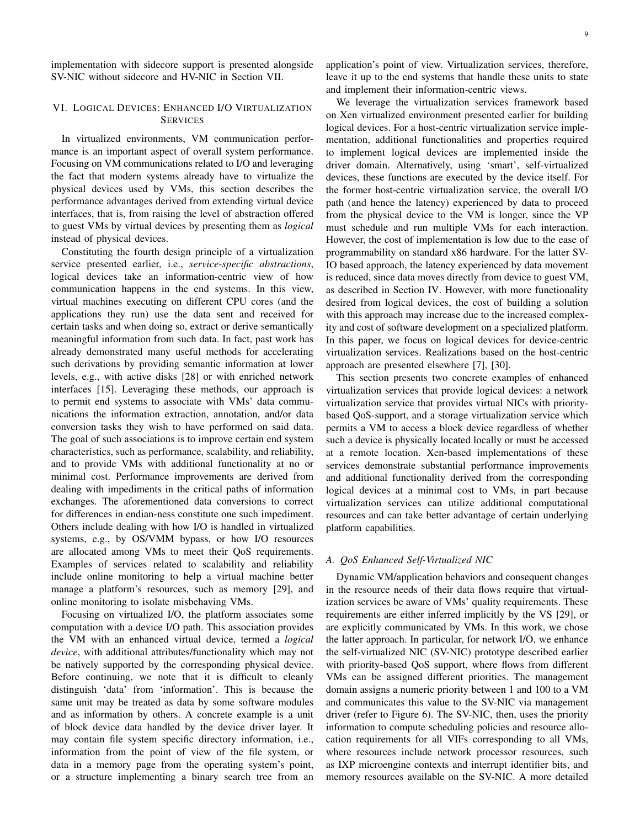implementation with sidecore support is presented alongside SV-NIC without sidecore and HV-NIC in Section VII.

# VI. LOGICAL DEVICES: ENHANCED I/O VIRTUALIZATION **SERVICES**

In virtualized environments, VM communication performance is an important aspect of overall system performance. Focusing on VM communications related to I/O and leveraging the fact that modern systems already have to virtualize the physical devices used by VMs, this section describes the performance advantages derived from extending virtual device interfaces, that is, from raising the level of abstraction offered to guest VMs by virtual devices by presenting them as *logical* instead of physical devices.

Constituting the fourth design principle of a virtualization service presented earlier, i.e., *service-specific abstractions*, logical devices take an information-centric view of how communication happens in the end systems. In this view, virtual machines executing on different CPU cores (and the applications they run) use the data sent and received for certain tasks and when doing so, extract or derive semantically meaningful information from such data. In fact, past work has already demonstrated many useful methods for accelerating such derivations by providing semantic information at lower levels, e.g., with active disks [28] or with enriched network interfaces [15]. Leveraging these methods, our approach is to permit end systems to associate with VMs' data communications the information extraction, annotation, and/or data conversion tasks they wish to have performed on said data. The goal of such associations is to improve certain end system characteristics, such as performance, scalability, and reliability, and to provide VMs with additional functionality at no or minimal cost. Performance improvements are derived from dealing with impediments in the critical paths of information exchanges. The aforementioned data conversions to correct for differences in endian-ness constitute one such impediment. Others include dealing with how I/O is handled in virtualized systems, e.g., by OS/VMM bypass, or how I/O resources are allocated among VMs to meet their QoS requirements. Examples of services related to scalability and reliability include online monitoring to help a virtual machine better manage a platform's resources, such as memory [29], and online monitoring to isolate misbehaving VMs.

Focusing on virtualized I/O, the platform associates some computation with a device I/O path. This association provides the VM with an enhanced virtual device, termed a *logical device*, with additional attributes/functionality which may not be natively supported by the corresponding physical device. Before continuing, we note that it is difficult to cleanly distinguish 'data' from 'information'. This is because the same unit may be treated as data by some software modules and as information by others. A concrete example is a unit of block device data handled by the device driver layer. It may contain file system specific directory information, i.e., information from the point of view of the file system, or data in a memory page from the operating system's point, or a structure implementing a binary search tree from an

application's point of view. Virtualization services, therefore, leave it up to the end systems that handle these units to state and implement their information-centric views.

We leverage the virtualization services framework based on Xen virtualized environment presented earlier for building logical devices. For a host-centric virtualization service implementation, additional functionalities and properties required to implement logical devices are implemented inside the driver domain. Alternatively, using 'smart', self-virtualized devices, these functions are executed by the device itself. For the former host-centric virtualization service, the overall I/O path (and hence the latency) experienced by data to proceed from the physical device to the VM is longer, since the VP must schedule and run multiple VMs for each interaction. However, the cost of implementation is low due to the ease of programmability on standard x86 hardware. For the latter SV-IO based approach, the latency experienced by data movement is reduced, since data moves directly from device to guest VM, as described in Section IV. However, with more functionality desired from logical devices, the cost of building a solution with this approach may increase due to the increased complexity and cost of software development on a specialized platform. In this paper, we focus on logical devices for device-centric virtualization services. Realizations based on the host-centric approach are presented elsewhere [7], [30].

This section presents two concrete examples of enhanced virtualization services that provide logical devices: a network virtualization service that provides virtual NICs with prioritybased QoS-support, and a storage virtualization service which permits a VM to access a block device regardless of whether such a device is physically located locally or must be accessed at a remote location. Xen-based implementations of these services demonstrate substantial performance improvements and additional functionality derived from the corresponding logical devices at a minimal cost to VMs, in part because virtualization services can utilize additional computational resources and can take better advantage of certain underlying platform capabilities.

# *A. QoS Enhanced Self-Virtualized NIC*

Dynamic VM/application behaviors and consequent changes in the resource needs of their data flows require that virtualization services be aware of VMs' quality requirements. These requirements are either inferred implicitly by the VS [29], or are explicitly communicated by VMs. In this work, we chose the latter approach. In particular, for network I/O, we enhance the self-virtualized NIC (SV-NIC) prototype described earlier with priority-based QoS support, where flows from different VMs can be assigned different priorities. The management domain assigns a numeric priority between 1 and 100 to a VM and communicates this value to the SV-NIC via management driver (refer to Figure 6). The SV-NIC, then, uses the priority information to compute scheduling policies and resource allocation requirements for all VIFs corresponding to all VMs, where resources include network processor resources, such as IXP microengine contexts and interrupt identifier bits, and memory resources available on the SV-NIC. A more detailed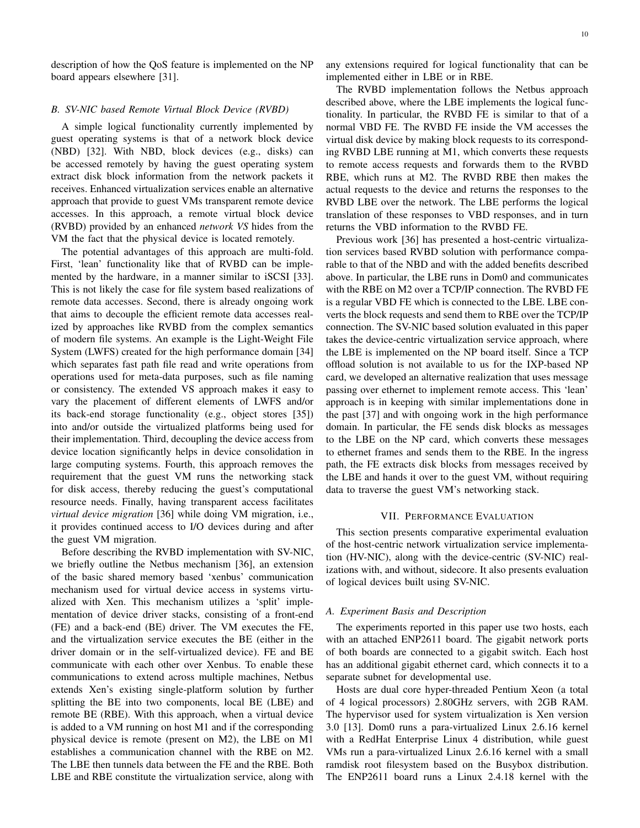description of how the QoS feature is implemented on the NP board appears elsewhere [31].

## *B. SV-NIC based Remote Virtual Block Device (RVBD)*

A simple logical functionality currently implemented by guest operating systems is that of a network block device (NBD) [32]. With NBD, block devices (e.g., disks) can be accessed remotely by having the guest operating system extract disk block information from the network packets it receives. Enhanced virtualization services enable an alternative approach that provide to guest VMs transparent remote device accesses. In this approach, a remote virtual block device (RVBD) provided by an enhanced *network VS* hides from the VM the fact that the physical device is located remotely.

The potential advantages of this approach are multi-fold. First, 'lean' functionality like that of RVBD can be implemented by the hardware, in a manner similar to iSCSI [33]. This is not likely the case for file system based realizations of remote data accesses. Second, there is already ongoing work that aims to decouple the efficient remote data accesses realized by approaches like RVBD from the complex semantics of modern file systems. An example is the Light-Weight File System (LWFS) created for the high performance domain [34] which separates fast path file read and write operations from operations used for meta-data purposes, such as file naming or consistency. The extended VS approach makes it easy to vary the placement of different elements of LWFS and/or its back-end storage functionality (e.g., object stores [35]) into and/or outside the virtualized platforms being used for their implementation. Third, decoupling the device access from device location significantly helps in device consolidation in large computing systems. Fourth, this approach removes the requirement that the guest VM runs the networking stack for disk access, thereby reducing the guest's computational resource needs. Finally, having transparent access facilitates *virtual device migration* [36] while doing VM migration, i.e., it provides continued access to I/O devices during and after the guest VM migration.

Before describing the RVBD implementation with SV-NIC, we briefly outline the Netbus mechanism [36], an extension of the basic shared memory based 'xenbus' communication mechanism used for virtual device access in systems virtualized with Xen. This mechanism utilizes a 'split' implementation of device driver stacks, consisting of a front-end (FE) and a back-end (BE) driver. The VM executes the FE, and the virtualization service executes the BE (either in the driver domain or in the self-virtualized device). FE and BE communicate with each other over Xenbus. To enable these communications to extend across multiple machines, Netbus extends Xen's existing single-platform solution by further splitting the BE into two components, local BE (LBE) and remote BE (RBE). With this approach, when a virtual device is added to a VM running on host M1 and if the corresponding physical device is remote (present on M2), the LBE on M1 establishes a communication channel with the RBE on M2. The LBE then tunnels data between the FE and the RBE. Both LBE and RBE constitute the virtualization service, along with any extensions required for logical functionality that can be implemented either in LBE or in RBE.

The RVBD implementation follows the Netbus approach described above, where the LBE implements the logical functionality. In particular, the RVBD FE is similar to that of a normal VBD FE. The RVBD FE inside the VM accesses the virtual disk device by making block requests to its corresponding RVBD LBE running at M1, which converts these requests to remote access requests and forwards them to the RVBD RBE, which runs at M2. The RVBD RBE then makes the actual requests to the device and returns the responses to the RVBD LBE over the network. The LBE performs the logical translation of these responses to VBD responses, and in turn returns the VBD information to the RVBD FE.

Previous work [36] has presented a host-centric virtualization services based RVBD solution with performance comparable to that of the NBD and with the added benefits described above. In particular, the LBE runs in Dom0 and communicates with the RBE on M2 over a TCP/IP connection. The RVBD FE is a regular VBD FE which is connected to the LBE. LBE converts the block requests and send them to RBE over the TCP/IP connection. The SV-NIC based solution evaluated in this paper takes the device-centric virtualization service approach, where the LBE is implemented on the NP board itself. Since a TCP offload solution is not available to us for the IXP-based NP card, we developed an alternative realization that uses message passing over ethernet to implement remote access. This 'lean' approach is in keeping with similar implementations done in the past [37] and with ongoing work in the high performance domain. In particular, the FE sends disk blocks as messages to the LBE on the NP card, which converts these messages to ethernet frames and sends them to the RBE. In the ingress path, the FE extracts disk blocks from messages received by the LBE and hands it over to the guest VM, without requiring data to traverse the guest VM's networking stack.

## VII. PERFORMANCE EVALUATION

This section presents comparative experimental evaluation of the host-centric network virtualization service implementation (HV-NIC), along with the device-centric (SV-NIC) realizations with, and without, sidecore. It also presents evaluation of logical devices built using SV-NIC.

### *A. Experiment Basis and Description*

The experiments reported in this paper use two hosts, each with an attached ENP2611 board. The gigabit network ports of both boards are connected to a gigabit switch. Each host has an additional gigabit ethernet card, which connects it to a separate subnet for developmental use.

Hosts are dual core hyper-threaded Pentium Xeon (a total of 4 logical processors) 2.80GHz servers, with 2GB RAM. The hypervisor used for system virtualization is Xen version 3.0 [13]. Dom0 runs a para-virtualized Linux 2.6.16 kernel with a RedHat Enterprise Linux 4 distribution, while guest VMs run a para-virtualized Linux 2.6.16 kernel with a small ramdisk root filesystem based on the Busybox distribution. The ENP2611 board runs a Linux 2.4.18 kernel with the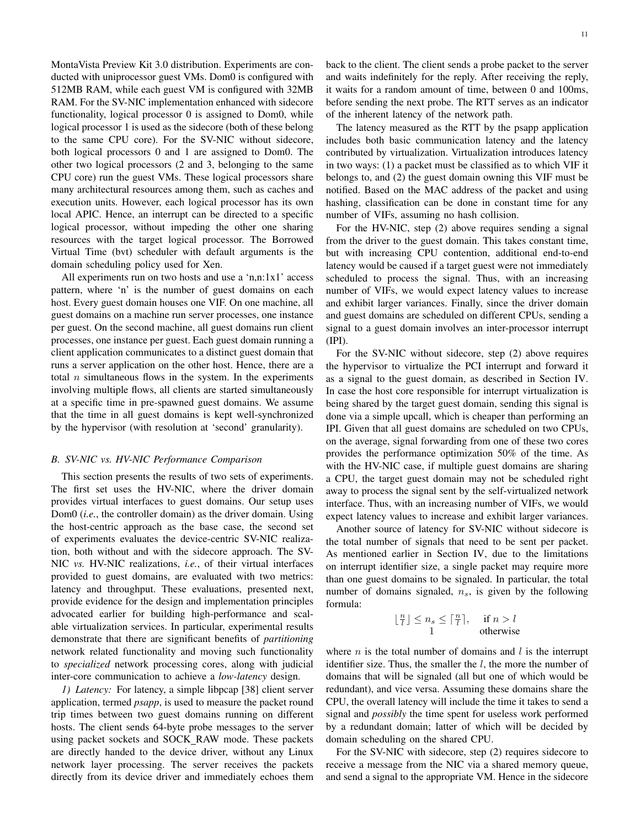MontaVista Preview Kit 3.0 distribution. Experiments are conducted with uniprocessor guest VMs. Dom0 is configured with 512MB RAM, while each guest VM is configured with 32MB RAM. For the SV-NIC implementation enhanced with sidecore functionality, logical processor 0 is assigned to Dom0, while logical processor 1 is used as the sidecore (both of these belong to the same CPU core). For the SV-NIC without sidecore, both logical processors 0 and 1 are assigned to Dom0. The other two logical processors (2 and 3, belonging to the same CPU core) run the guest VMs. These logical processors share many architectural resources among them, such as caches and execution units. However, each logical processor has its own local APIC. Hence, an interrupt can be directed to a specific logical processor, without impeding the other one sharing resources with the target logical processor. The Borrowed Virtual Time (bvt) scheduler with default arguments is the domain scheduling policy used for Xen.

All experiments run on two hosts and use a 'n,n:1x1' access pattern, where 'n' is the number of guest domains on each host. Every guest domain houses one VIF. On one machine, all guest domains on a machine run server processes, one instance per guest. On the second machine, all guest domains run client processes, one instance per guest. Each guest domain running a client application communicates to a distinct guest domain that runs a server application on the other host. Hence, there are a total *n* simultaneous flows in the system. In the experiments involving multiple flows, all clients are started simultaneously at a specific time in pre-spawned guest domains. We assume that the time in all guest domains is kept well-synchronized by the hypervisor (with resolution at 'second' granularity).

## *B. SV-NIC vs. HV-NIC Performance Comparison*

This section presents the results of two sets of experiments. The first set uses the HV-NIC, where the driver domain provides virtual interfaces to guest domains. Our setup uses Dom0 (*i.e.*, the controller domain) as the driver domain. Using the host-centric approach as the base case, the second set of experiments evaluates the device-centric SV-NIC realization, both without and with the sidecore approach. The SV-NIC *vs.* HV-NIC realizations, *i.e.*, of their virtual interfaces provided to guest domains, are evaluated with two metrics: latency and throughput. These evaluations, presented next, provide evidence for the design and implementation principles advocated earlier for building high-performance and scalable virtualization services. In particular, experimental results demonstrate that there are significant benefits of *partitioning* network related functionality and moving such functionality to *specialized* network processing cores, along with judicial inter-core communication to achieve a *low-latency* design.

*1) Latency:* For latency, a simple libpcap [38] client server application, termed *psapp*, is used to measure the packet round trip times between two guest domains running on different hosts. The client sends 64-byte probe messages to the server using packet sockets and SOCK RAW mode. These packets are directly handed to the device driver, without any Linux network layer processing. The server receives the packets directly from its device driver and immediately echoes them back to the client. The client sends a probe packet to the server and waits indefinitely for the reply. After receiving the reply, it waits for a random amount of time, between 0 and 100ms, before sending the next probe. The RTT serves as an indicator of the inherent latency of the network path.

The latency measured as the RTT by the psapp application includes both basic communication latency and the latency contributed by virtualization. Virtualization introduces latency in two ways: (1) a packet must be classified as to which VIF it belongs to, and (2) the guest domain owning this VIF must be notified. Based on the MAC address of the packet and using hashing, classification can be done in constant time for any number of VIFs, assuming no hash collision.

For the HV-NIC, step (2) above requires sending a signal from the driver to the guest domain. This takes constant time, but with increasing CPU contention, additional end-to-end latency would be caused if a target guest were not immediately scheduled to process the signal. Thus, with an increasing number of VIFs, we would expect latency values to increase and exhibit larger variances. Finally, since the driver domain and guest domains are scheduled on different CPUs, sending a signal to a guest domain involves an inter-processor interrupt (IPI).

For the SV-NIC without sidecore, step (2) above requires the hypervisor to virtualize the PCI interrupt and forward it as a signal to the guest domain, as described in Section IV. In case the host core responsible for interrupt virtualization is being shared by the target guest domain, sending this signal is done via a simple upcall, which is cheaper than performing an IPI. Given that all guest domains are scheduled on two CPUs, on the average, signal forwarding from one of these two cores provides the performance optimization 50% of the time. As with the HV-NIC case, if multiple guest domains are sharing a CPU, the target guest domain may not be scheduled right away to process the signal sent by the self-virtualized network interface. Thus, with an increasing number of VIFs, we would expect latency values to increase and exhibit larger variances.

Another source of latency for SV-NIC without sidecore is the total number of signals that need to be sent per packet. As mentioned earlier in Section IV, due to the limitations on interrupt identifier size, a single packet may require more than one guest domains to be signaled. In particular, the total number of domains signaled, *ns*, is given by the following formula:

$$
\lfloor \frac{n}{l} \rfloor \le n_s \le \lceil \frac{n}{l} \rceil, \quad \text{if } n > l
$$
  
1 otherwise

where *n* is the total number of domains and *l* is the interrupt identifier size. Thus, the smaller the *l*, the more the number of domains that will be signaled (all but one of which would be redundant), and vice versa. Assuming these domains share the CPU, the overall latency will include the time it takes to send a signal and *possibly* the time spent for useless work performed by a redundant domain; latter of which will be decided by domain scheduling on the shared CPU.

For the SV-NIC with sidecore, step (2) requires sidecore to receive a message from the NIC via a shared memory queue, and send a signal to the appropriate VM. Hence in the sidecore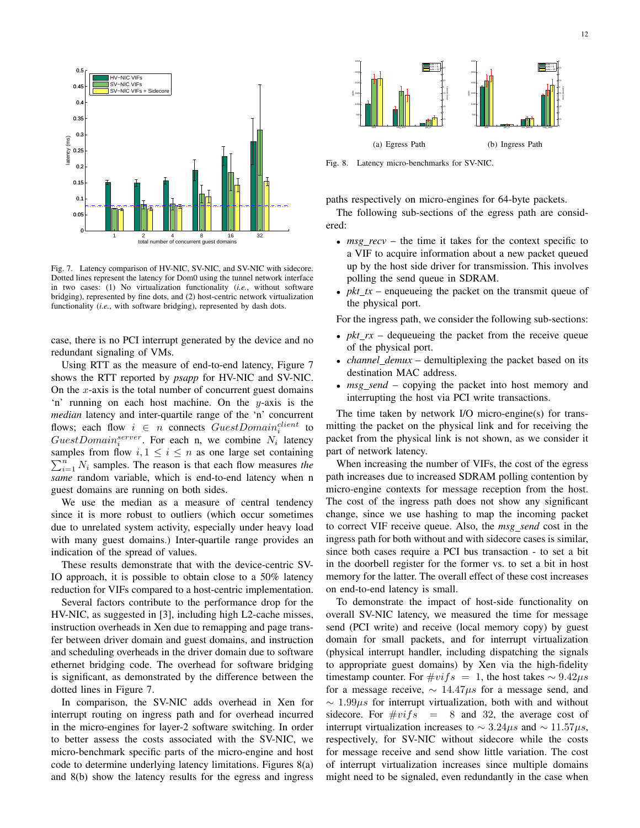

Fig. 7. Latency comparison of HV-NIC, SV-NIC, and SV-NIC with sidecore. Dotted lines represent the latency for Dom0 using the tunnel network interface in two cases: (1) No virtualization functionality (*i.e.*, without software bridging), represented by fine dots, and (2) host-centric network virtualization functionality (*i.e.*, with software bridging), represented by dash dots.

case, there is no PCI interrupt generated by the device and no redundant signaling of VMs.

Using RTT as the measure of end-to-end latency, Figure 7 shows the RTT reported by *psapp* for HV-NIC and SV-NIC. On the *x*-axis is the total number of concurrent guest domains 'n' running on each host machine. On the *y*-axis is the *median* latency and inter-quartile range of the 'n' concurrent flows; each flow  $i \in n$  connects  $GuestDomain_i^{client}$  to  $GuestDomain<sub>i</sub><sup>server</sup>$ . For each n, we combine  $N_i$  latency samples from flow  $i, 1 \leq i \leq n$  as one large set containing  $\sum_{i=1}^{n} N_i$  samples. The reason is that each flow measures *the same* random variable, which is end-to-end latency when n guest domains are running on both sides.

We use the median as a measure of central tendency since it is more robust to outliers (which occur sometimes due to unrelated system activity, especially under heavy load with many guest domains.) Inter-quartile range provides an indication of the spread of values.

These results demonstrate that with the device-centric SV-IO approach, it is possible to obtain close to a 50% latency reduction for VIFs compared to a host-centric implementation.

Several factors contribute to the performance drop for the HV-NIC, as suggested in [3], including high L2-cache misses, instruction overheads in Xen due to remapping and page transfer between driver domain and guest domains, and instruction and scheduling overheads in the driver domain due to software ethernet bridging code. The overhead for software bridging is significant, as demonstrated by the difference between the dotted lines in Figure 7.

In comparison, the SV-NIC adds overhead in Xen for interrupt routing on ingress path and for overhead incurred in the micro-engines for layer-2 software switching. In order to better assess the costs associated with the SV-NIC, we micro-benchmark specific parts of the micro-engine and host code to determine underlying latency limitations. Figures 8(a) and 8(b) show the latency results for the egress and ingress



Fig. 8. Latency micro-benchmarks for SV-NIC.

paths respectively on micro-engines for 64-byte packets.

The following sub-sections of the egress path are considered:

- *msg\_recv* the time it takes for the context specific to a VIF to acquire information about a new packet queued up by the host side driver for transmission. This involves polling the send queue in SDRAM.
- *pkt\_tx* enqueueing the packet on the transmit queue of the physical port.

For the ingress path, we consider the following sub-sections:

- *pkt\_rx* dequeueing the packet from the receive queue of the physical port.
- *channel\_demux* demultiplexing the packet based on its destination MAC address.
- *msg\_send* copying the packet into host memory and interrupting the host via PCI write transactions.

The time taken by network I/O micro-engine(s) for transmitting the packet on the physical link and for receiving the packet from the physical link is not shown, as we consider it part of network latency.

When increasing the number of VIFs, the cost of the egress path increases due to increased SDRAM polling contention by micro-engine contexts for message reception from the host. The cost of the ingress path does not show any significant change, since we use hashing to map the incoming packet to correct VIF receive queue. Also, the *msg send* cost in the ingress path for both without and with sidecore cases is similar, since both cases require a PCI bus transaction - to set a bit in the doorbell register for the former vs. to set a bit in host memory for the latter. The overall effect of these cost increases on end-to-end latency is small.

To demonstrate the impact of host-side functionality on overall SV-NIC latency, we measured the time for message send (PCI write) and receive (local memory copy) by guest domain for small packets, and for interrupt virtualization (physical interrupt handler, including dispatching the signals to appropriate guest domains) by Xen via the high-fidelity timestamp counter. For  $\#vifs = 1$ , the host takes  $\sim 9.42 \mu s$ for a message receive, *∼* 14*.*47*µs* for a message send, and *∼* 1*.*99*µs* for interrupt virtualization, both with and without sidecore. For  $\#vifs = 8$  and 32, the average cost of interrupt virtualization increases to *∼* 3*.*24*µs* and *∼* 11*.*57*µs*, respectively, for SV-NIC without sidecore while the costs for message receive and send show little variation. The cost of interrupt virtualization increases since multiple domains might need to be signaled, even redundantly in the case when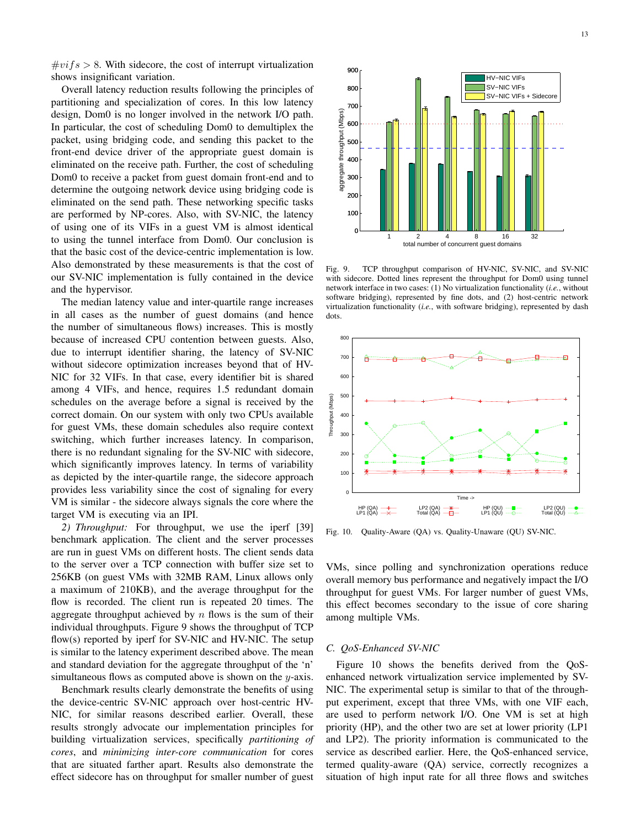$\#vifs > 8$ . With sidecore, the cost of interrupt virtualization shows insignificant variation.

Overall latency reduction results following the principles of partitioning and specialization of cores. In this low latency design, Dom0 is no longer involved in the network I/O path. In particular, the cost of scheduling Dom0 to demultiplex the packet, using bridging code, and sending this packet to the front-end device driver of the appropriate guest domain is eliminated on the receive path. Further, the cost of scheduling Dom0 to receive a packet from guest domain front-end and to determine the outgoing network device using bridging code is eliminated on the send path. These networking specific tasks are performed by NP-cores. Also, with SV-NIC, the latency of using one of its VIFs in a guest VM is almost identical to using the tunnel interface from Dom0. Our conclusion is that the basic cost of the device-centric implementation is low. Also demonstrated by these measurements is that the cost of our SV-NIC implementation is fully contained in the device and the hypervisor.

The median latency value and inter-quartile range increases in all cases as the number of guest domains (and hence the number of simultaneous flows) increases. This is mostly because of increased CPU contention between guests. Also, due to interrupt identifier sharing, the latency of SV-NIC without sidecore optimization increases beyond that of HV-NIC for 32 VIFs. In that case, every identifier bit is shared among 4 VIFs, and hence, requires 1.5 redundant domain schedules on the average before a signal is received by the correct domain. On our system with only two CPUs available for guest VMs, these domain schedules also require context switching, which further increases latency. In comparison, there is no redundant signaling for the SV-NIC with sidecore, which significantly improves latency. In terms of variability as depicted by the inter-quartile range, the sidecore approach provides less variability since the cost of signaling for every VM is similar - the sidecore always signals the core where the target VM is executing via an IPI.

*2) Throughput:* For throughput, we use the iperf [39] benchmark application. The client and the server processes are run in guest VMs on different hosts. The client sends data to the server over a TCP connection with buffer size set to 256KB (on guest VMs with 32MB RAM, Linux allows only a maximum of 210KB), and the average throughput for the flow is recorded. The client run is repeated 20 times. The aggregate throughput achieved by *n* flows is the sum of their individual throughputs. Figure 9 shows the throughput of TCP flow(s) reported by iperf for SV-NIC and HV-NIC. The setup is similar to the latency experiment described above. The mean and standard deviation for the aggregate throughput of the 'n' simultaneous flows as computed above is shown on the *y*-axis.

Benchmark results clearly demonstrate the benefits of using the device-centric SV-NIC approach over host-centric HV-NIC, for similar reasons described earlier. Overall, these results strongly advocate our implementation principles for building virtualization services, specifically *partitioning of cores*, and *minimizing inter-core communication* for cores that are situated farther apart. Results also demonstrate the effect sidecore has on throughput for smaller number of guest



Fig. 9. TCP throughput comparison of HV-NIC, SV-NIC, and SV-NIC with sidecore. Dotted lines represent the throughput for Dom0 using tunnel network interface in two cases: (1) No virtualization functionality (*i.e.*, without software bridging), represented by fine dots, and (2) host-centric network virtualization functionality (*i.e.*, with software bridging), represented by dash dots.



Fig. 10. Quality-Aware (QA) vs. Quality-Unaware (QU) SV-NIC.

VMs, since polling and synchronization operations reduce overall memory bus performance and negatively impact the I/O throughput for guest VMs. For larger number of guest VMs, this effect becomes secondary to the issue of core sharing among multiple VMs.

## *C. QoS-Enhanced SV-NIC*

Figure 10 shows the benefits derived from the QoSenhanced network virtualization service implemented by SV-NIC. The experimental setup is similar to that of the throughput experiment, except that three VMs, with one VIF each, are used to perform network I/O. One VM is set at high priority (HP), and the other two are set at lower priority (LP1 and LP2). The priority information is communicated to the service as described earlier. Here, the QoS-enhanced service, termed quality-aware (QA) service, correctly recognizes a situation of high input rate for all three flows and switches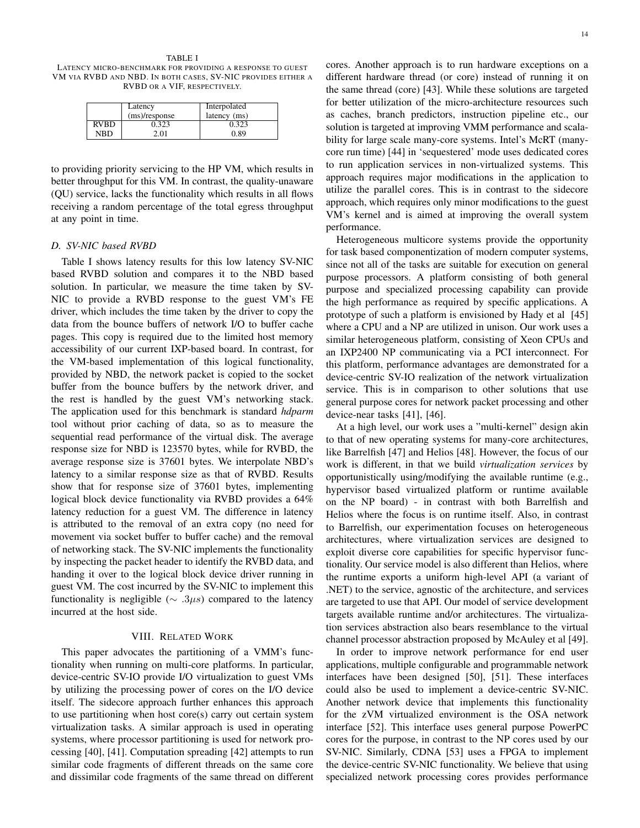TABLE I LATENCY MICRO-BENCHMARK FOR PROVIDING A RESPONSE TO GUEST VM VIA RVBD AND NBD. IN BOTH CASES, SV-NIC PROVIDES EITHER A RVBD OR A VIF, RESPECTIVELY.

|             | Latency       | Interpolated |
|-------------|---------------|--------------|
|             | (ms)/response | latency (ms) |
| <b>RVBD</b> | 0.323         | 0.323        |
| NRD         | 2.01          | 0.89         |

to providing priority servicing to the HP VM, which results in better throughput for this VM. In contrast, the quality-unaware (QU) service, lacks the functionality which results in all flows receiving a random percentage of the total egress throughput at any point in time.

## *D. SV-NIC based RVBD*

Table I shows latency results for this low latency SV-NIC based RVBD solution and compares it to the NBD based solution. In particular, we measure the time taken by SV-NIC to provide a RVBD response to the guest VM's FE driver, which includes the time taken by the driver to copy the data from the bounce buffers of network I/O to buffer cache pages. This copy is required due to the limited host memory accessibility of our current IXP-based board. In contrast, for the VM-based implementation of this logical functionality, provided by NBD, the network packet is copied to the socket buffer from the bounce buffers by the network driver, and the rest is handled by the guest VM's networking stack. The application used for this benchmark is standard *hdparm* tool without prior caching of data, so as to measure the sequential read performance of the virtual disk. The average response size for NBD is 123570 bytes, while for RVBD, the average response size is 37601 bytes. We interpolate NBD's latency to a similar response size as that of RVBD. Results show that for response size of 37601 bytes, implementing logical block device functionality via RVBD provides a 64% latency reduction for a guest VM. The difference in latency is attributed to the removal of an extra copy (no need for movement via socket buffer to buffer cache) and the removal of networking stack. The SV-NIC implements the functionality by inspecting the packet header to identify the RVBD data, and handing it over to the logical block device driver running in guest VM. The cost incurred by the SV-NIC to implement this functionality is negligible ( $\sim$  *.3µs*) compared to the latency incurred at the host side.

#### VIII. RELATED WORK

This paper advocates the partitioning of a VMM's functionality when running on multi-core platforms. In particular, device-centric SV-IO provide I/O virtualization to guest VMs by utilizing the processing power of cores on the I/O device itself. The sidecore approach further enhances this approach to use partitioning when host core(s) carry out certain system virtualization tasks. A similar approach is used in operating systems, where processor partitioning is used for network processing [40], [41]. Computation spreading [42] attempts to run similar code fragments of different threads on the same core and dissimilar code fragments of the same thread on different

cores. Another approach is to run hardware exceptions on a different hardware thread (or core) instead of running it on the same thread (core) [43]. While these solutions are targeted for better utilization of the micro-architecture resources such as caches, branch predictors, instruction pipeline etc., our solution is targeted at improving VMM performance and scalability for large scale many-core systems. Intel's McRT (manycore run time) [44] in 'sequestered' mode uses dedicated cores to run application services in non-virtualized systems. This approach requires major modifications in the application to utilize the parallel cores. This is in contrast to the sidecore approach, which requires only minor modifications to the guest VM's kernel and is aimed at improving the overall system performance.

Heterogeneous multicore systems provide the opportunity for task based componentization of modern computer systems, since not all of the tasks are suitable for execution on general purpose processors. A platform consisting of both general purpose and specialized processing capability can provide the high performance as required by specific applications. A prototype of such a platform is envisioned by Hady et al [45] where a CPU and a NP are utilized in unison. Our work uses a similar heterogeneous platform, consisting of Xeon CPUs and an IXP2400 NP communicating via a PCI interconnect. For this platform, performance advantages are demonstrated for a device-centric SV-IO realization of the network virtualization service. This is in comparison to other solutions that use general purpose cores for network packet processing and other device-near tasks [41], [46].

At a high level, our work uses a "multi-kernel" design akin to that of new operating systems for many-core architectures, like Barrelfish [47] and Helios [48]. However, the focus of our work is different, in that we build *virtualization services* by opportunistically using/modifying the available runtime (e.g., hypervisor based virtualized platform or runtime available on the NP board) - in contrast with both Barrelfish and Helios where the focus is on runtime itself. Also, in contrast to Barrelfish, our experimentation focuses on heterogeneous architectures, where virtualization services are designed to exploit diverse core capabilities for specific hypervisor functionality. Our service model is also different than Helios, where the runtime exports a uniform high-level API (a variant of .NET) to the service, agnostic of the architecture, and services are targeted to use that API. Our model of service development targets available runtime and/or architectures. The virtualization services abstraction also bears resemblance to the virtual channel processor abstraction proposed by McAuley et al [49].

In order to improve network performance for end user applications, multiple configurable and programmable network interfaces have been designed [50], [51]. These interfaces could also be used to implement a device-centric SV-NIC. Another network device that implements this functionality for the zVM virtualized environment is the OSA network interface [52]. This interface uses general purpose PowerPC cores for the purpose, in contrast to the NP cores used by our SV-NIC. Similarly, CDNA [53] uses a FPGA to implement the device-centric SV-NIC functionality. We believe that using specialized network processing cores provides performance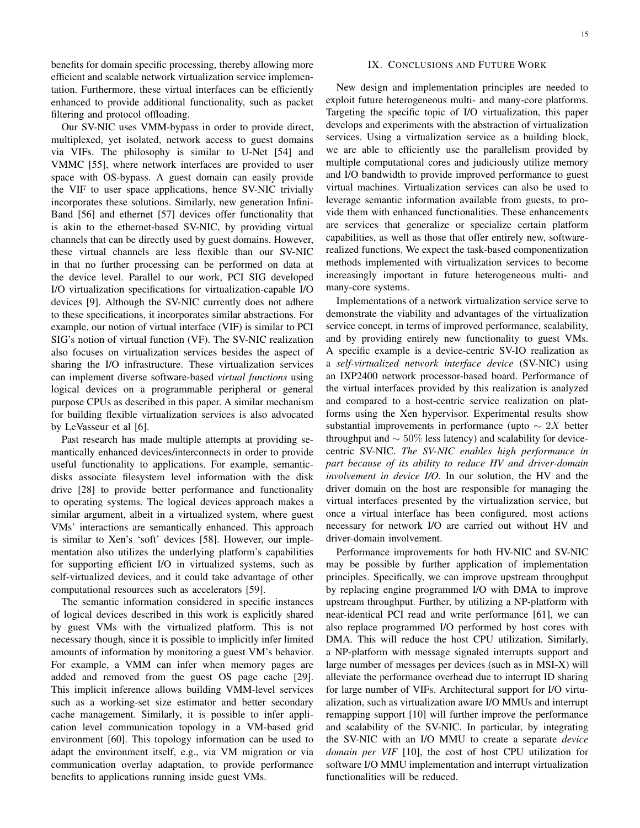benefits for domain specific processing, thereby allowing more efficient and scalable network virtualization service implementation. Furthermore, these virtual interfaces can be efficiently enhanced to provide additional functionality, such as packet filtering and protocol offloading.

Our SV-NIC uses VMM-bypass in order to provide direct, multiplexed, yet isolated, network access to guest domains via VIFs. The philosophy is similar to U-Net [54] and VMMC [55], where network interfaces are provided to user space with OS-bypass. A guest domain can easily provide the VIF to user space applications, hence SV-NIC trivially incorporates these solutions. Similarly, new generation Infini-Band [56] and ethernet [57] devices offer functionality that is akin to the ethernet-based SV-NIC, by providing virtual channels that can be directly used by guest domains. However, these virtual channels are less flexible than our SV-NIC in that no further processing can be performed on data at the device level. Parallel to our work, PCI SIG developed I/O virtualization specifications for virtualization-capable I/O devices [9]. Although the SV-NIC currently does not adhere to these specifications, it incorporates similar abstractions. For example, our notion of virtual interface (VIF) is similar to PCI SIG's notion of virtual function (VF). The SV-NIC realization also focuses on virtualization services besides the aspect of sharing the I/O infrastructure. These virtualization services can implement diverse software-based *virtual functions* using logical devices on a programmable peripheral or general purpose CPUs as described in this paper. A similar mechanism for building flexible virtualization services is also advocated by LeVasseur et al [6].

Past research has made multiple attempts at providing semantically enhanced devices/interconnects in order to provide useful functionality to applications. For example, semanticdisks associate filesystem level information with the disk drive [28] to provide better performance and functionality to operating systems. The logical devices approach makes a similar argument, albeit in a virtualized system, where guest VMs' interactions are semantically enhanced. This approach is similar to Xen's 'soft' devices [58]. However, our implementation also utilizes the underlying platform's capabilities for supporting efficient I/O in virtualized systems, such as self-virtualized devices, and it could take advantage of other computational resources such as accelerators [59].

The semantic information considered in specific instances of logical devices described in this work is explicitly shared by guest VMs with the virtualized platform. This is not necessary though, since it is possible to implicitly infer limited amounts of information by monitoring a guest VM's behavior. For example, a VMM can infer when memory pages are added and removed from the guest OS page cache [29]. This implicit inference allows building VMM-level services such as a working-set size estimator and better secondary cache management. Similarly, it is possible to infer application level communication topology in a VM-based grid environment [60]. This topology information can be used to adapt the environment itself, e.g., via VM migration or via communication overlay adaptation, to provide performance benefits to applications running inside guest VMs.

## IX. CONCLUSIONS AND FUTURE WORK

New design and implementation principles are needed to exploit future heterogeneous multi- and many-core platforms. Targeting the specific topic of I/O virtualization, this paper develops and experiments with the abstraction of virtualization services. Using a virtualization service as a building block, we are able to efficiently use the parallelism provided by multiple computational cores and judiciously utilize memory and I/O bandwidth to provide improved performance to guest virtual machines. Virtualization services can also be used to leverage semantic information available from guests, to provide them with enhanced functionalities. These enhancements are services that generalize or specialize certain platform capabilities, as well as those that offer entirely new, softwarerealized functions. We expect the task-based componentization methods implemented with virtualization services to become increasingly important in future heterogeneous multi- and many-core systems.

Implementations of a network virtualization service serve to demonstrate the viability and advantages of the virtualization service concept, in terms of improved performance, scalability, and by providing entirely new functionality to guest VMs. A specific example is a device-centric SV-IO realization as a *self-virtualized network interface device* (SV-NIC) using an IXP2400 network processor-based board. Performance of the virtual interfaces provided by this realization is analyzed and compared to a host-centric service realization on platforms using the Xen hypervisor. Experimental results show substantial improvements in performance (upto *∼* 2*X* better throughput and *∼* 50% less latency) and scalability for devicecentric SV-NIC. *The SV-NIC enables high performance in part because of its ability to reduce HV and driver-domain involvement in device I/O*. In our solution, the HV and the driver domain on the host are responsible for managing the virtual interfaces presented by the virtualization service, but once a virtual interface has been configured, most actions necessary for network I/O are carried out without HV and driver-domain involvement.

Performance improvements for both HV-NIC and SV-NIC may be possible by further application of implementation principles. Specifically, we can improve upstream throughput by replacing engine programmed I/O with DMA to improve upstream throughput. Further, by utilizing a NP-platform with near-identical PCI read and write performance [61], we can also replace programmed I/O performed by host cores with DMA. This will reduce the host CPU utilization. Similarly, a NP-platform with message signaled interrupts support and large number of messages per devices (such as in MSI-X) will alleviate the performance overhead due to interrupt ID sharing for large number of VIFs. Architectural support for I/O virtualization, such as virtualization aware I/O MMUs and interrupt remapping support [10] will further improve the performance and scalability of the SV-NIC. In particular, by integrating the SV-NIC with an I/O MMU to create a separate *device domain per VIF* [10], the cost of host CPU utilization for software I/O MMU implementation and interrupt virtualization functionalities will be reduced.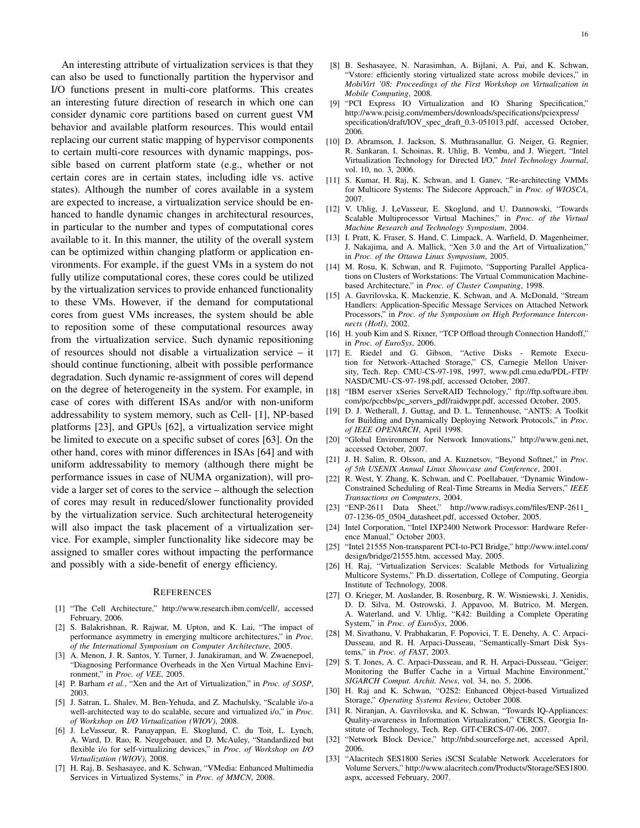An interesting attribute of virtualization services is that they can also be used to functionally partition the hypervisor and I/O functions present in multi-core platforms. This creates an interesting future direction of research in which one can consider dynamic core partitions based on current guest VM behavior and available platform resources. This would entail replacing our current static mapping of hypervisor components to certain multi-core resources with dynamic mappings, possible based on current platform state (e.g., whether or not certain cores are in certain states, including idle vs. active states). Although the number of cores available in a system are expected to increase, a virtualization service should be enhanced to handle dynamic changes in architectural resources, in particular to the number and types of computational cores available to it. In this manner, the utility of the overall system can be optimized within changing platform or application environments. For example, if the guest VMs in a system do not fully utilize computational cores, these cores could be utilized by the virtualization services to provide enhanced functionality to these VMs. However, if the demand for computational cores from guest VMs increases, the system should be able to reposition some of these computational resources away from the virtualization service. Such dynamic repositioning of resources should not disable a virtualization service – it should continue functioning, albeit with possible performance degradation. Such dynamic re-assignment of cores will depend on the degree of heterogeneity in the system. For example, in case of cores with different ISAs and/or with non-uniform addressability to system memory, such as Cell- [1], NP-based platforms [23], and GPUs [62], a virtualization service might be limited to execute on a specific subset of cores [63]. On the other hand, cores with minor differences in ISAs [64] and with uniform addressability to memory (although there might be performance issues in case of NUMA organization), will provide a larger set of cores to the service – although the selection of cores may result in reduced/slower functionality provided by the virtualization service. Such architectural heterogeneity will also impact the task placement of a virtualization service. For example, simpler functionality like sidecore may be assigned to smaller cores without impacting the performance and possibly with a side-benefit of energy efficiency.

#### **REFERENCES**

- [1] "The Cell Architecture," http://www.research.ibm.com/cell/, accessed February, 2006.
- [2] S. Balakrishnan, R. Rajwar, M. Upton, and K. Lai, "The impact of performance asymmetry in emerging multicore architectures," in *Proc. of the International Symposium on Computer Architecture*, 2005.
- [3] A. Menon, J. R. Santos, Y. Turner, J. Janakiraman, and W. Zwaenepoel, "Diagnosing Performance Overheads in the Xen Virtual Machine Environment," in *Proc. of VEE*, 2005.
- [4] P. Barham *et al.*, "Xen and the Art of Virtualization," in *Proc. of SOSP*, 2003.
- [5] J. Satran, L. Shalev, M. Ben-Yehuda, and Z. Machulsky, "Scalable i/o-a well-architected way to do scalable, secure and virtualized i/o," in *Proc. of Workshop on I/O Virtualization (WIOV)*, 2008.
- [6] J. LeVasseur, R. Panayappan, E. Skoglund, C. du Toit, L. Lynch, A. Ward, D. Rao, R. Neugebauer, and D. McAuley, "Standardized but flexible i/o for self-virtualizing devices," in *Proc. of Workshop on I/O Virtualization (WIOV)*, 2008.
- [7] H. Raj, B. Seshasayee, and K. Schwan, "VMedia: Enhanced Multimedia Services in Virtualized Systems," in *Proc. of MMCN*, 2008.
- [8] B. Seshasayee, N. Narasimhan, A. Bijlani, A. Pai, and K. Schwan, "Vstore: efficiently storing virtualized state across mobile devices," in *MobiVirt '08: Proceedings of the First Workshop on Virtualization in Mobile Computing*, 2008.
- [9] "PCI Express IO Virtualization and IO Sharing Specification," http://www.pcisig.com/members/downloads/specifications/pciexpress/ specification/draft/IOV\_spec\_draft\_0.3-051013.pdf, accessed October, 2006.
- [10] D. Abramson, J. Jackson, S. Muthrasanallur, G. Neiger, G. Regnier, R. Sankaran, I. Schoinas, R. Uhlig, B. Vembu, and J. Wiegert, "Intel Virtualization Technology for Directed I/O," *Intel Technology Journal*, vol. 10, no. 3, 2006.
- [11] S. Kumar, H. Raj, K. Schwan, and I. Ganev, "Re-architecting VMMs for Multicore Systems: The Sidecore Approach," in *Proc. of WIOSCA*, 2007.
- [12] V. Uhlig, J. LeVasseur, E. Skoglund, and U. Dannowski, "Towards Scalable Multiprocessor Virtual Machines," in *Proc. of the Virtual Machine Research and Technology Symposium*, 2004.
- [13] I. Pratt, K. Fraser, S. Hand, C. Limpack, A. Warfield, D. Magenheimer, J. Nakajima, and A. Mallick, "Xen 3.0 and the Art of Virtualization," in *Proc. of the Ottawa Linux Symposium*, 2005.
- [14] M. Rosu, K. Schwan, and R. Fujimoto, "Supporting Parallel Applications on Clusters of Workstations: The Virtual Communication Machinebased Architecture," in *Proc. of Cluster Computing*, 1998.
- [15] A. Gavrilovska, K. Mackenzie, K. Schwan, and A. McDonald, "Stream Handlers: Application-Specific Message Services on Attached Network Processors," in *Proc. of the Symposium on High Performance Interconnects (HotI)*, 2002.
- [16] H. youb Kim and S. Rixner, "TCP Offload through Connection Handoff," in *Proc. of EuroSys*, 2006.
- [17] E. Riedel and G. Gibson, "Active Disks Remote Execution for Network-Attached Storage," CS, Carnegie Mellon University, Tech. Rep. CMU-CS-97-198, 1997, www.pdl.cmu.edu/PDL-FTP/ NASD/CMU-CS-97-198.pdf, accessed October, 2007.
- [18] "IBM eserver xSeries ServeRAID Technology," ftp://ftp.software.ibm. com/pc/pccbbs/pc\_servers\_pdf/raidwppr.pdf, accessed October, 2005.
- [19] D. J. Wetherall, J. Guttag, and D. L. Tennenhouse, "ANTS: A Toolkit for Building and Dynamically Deploying Network Protocols," in *Proc. of IEEE OPENARCH*, April 1998.
- [20] "Global Environment for Network Innovations," http://www.geni.net, accessed October, 2007.
- [21] J. H. Salim, R. Olsson, and A. Kuznetsov, "Beyond Softnet," in *Proc. of 5th USENIX Annual Linux Showcase and Conference*, 2001.
- [22] R. West, Y. Zhang, K. Schwan, and C. Poellabauer, "Dynamic Window-Constrained Scheduling of Real-Time Streams in Media Servers," *IEEE Transactions on Computers*, 2004.
- [23] "ENP-2611 Data Sheet," http://www.radisys.com/files/ENP-2611 07-1236-05 0504 datasheet.pdf, accessed October, 2005.
- [24] Intel Corporation, "Intel IXP2400 Network Processor: Hardware Reference Manual," October 2003.
- [25] "Intel 21555 Non-transparent PCI-to-PCI Bridge," http://www.intel.com/ design/bridge/21555.htm, accessed May, 2005.
- [26] H. Raj, "Virtualization Services: Scalable Methods for Virtualizing Multicore Systems," Ph.D. dissertation, College of Computing, Georgia Institute of Technology, 2008.
- [27] O. Krieger, M. Auslander, B. Rosenburg, R. W. Wisniewski, J. Xenidis, D. D. Silva, M. Ostrowski, J. Appavoo, M. Butrico, M. Mergen, A. Waterland, and V. Uhlig, "K42: Building a Complete Operating System," in *Proc. of EuroSys*, 2006.
- [28] M. Sivathanu, V. Prabhakaran, F. Popovici, T. E. Denehy, A. C. Arpaci-Dusseau, and R. H. Arpaci-Dusseau, "Semantically-Smart Disk Systems," in *Proc. of FAST*, 2003.
- [29] S. T. Jones, A. C. Arpaci-Dusseau, and R. H. Arpaci-Dusseau, "Geiger: Monitoring the Buffer Cache in a Virtual Machine Environment," *SIGARCH Comput. Archit. News*, vol. 34, no. 5, 2006.
- [30] H. Raj and K. Schwan, "O2S2: Enhanced Object-based Virtualized Storage," *Operating Systems Review*, October 2008.
- [31] R. Niranjan, A. Gavrilovska, and K. Schwan, "Towards IQ-Appliances: Quality-awareness in Information Virtualization," CERCS, Georgia Institute of Technology, Tech. Rep. GIT-CERCS-07-06, 2007.
- [32] "Network Block Device," http://nbd.sourceforge.net, accessed April, 2006.
- [33] "Alacritech SES1800 Series iSCSI Scalable Network Accelerators for Volume Servers," http://www.alacritech.com/Products/Storage/SES1800. aspx, accessed February, 2007.